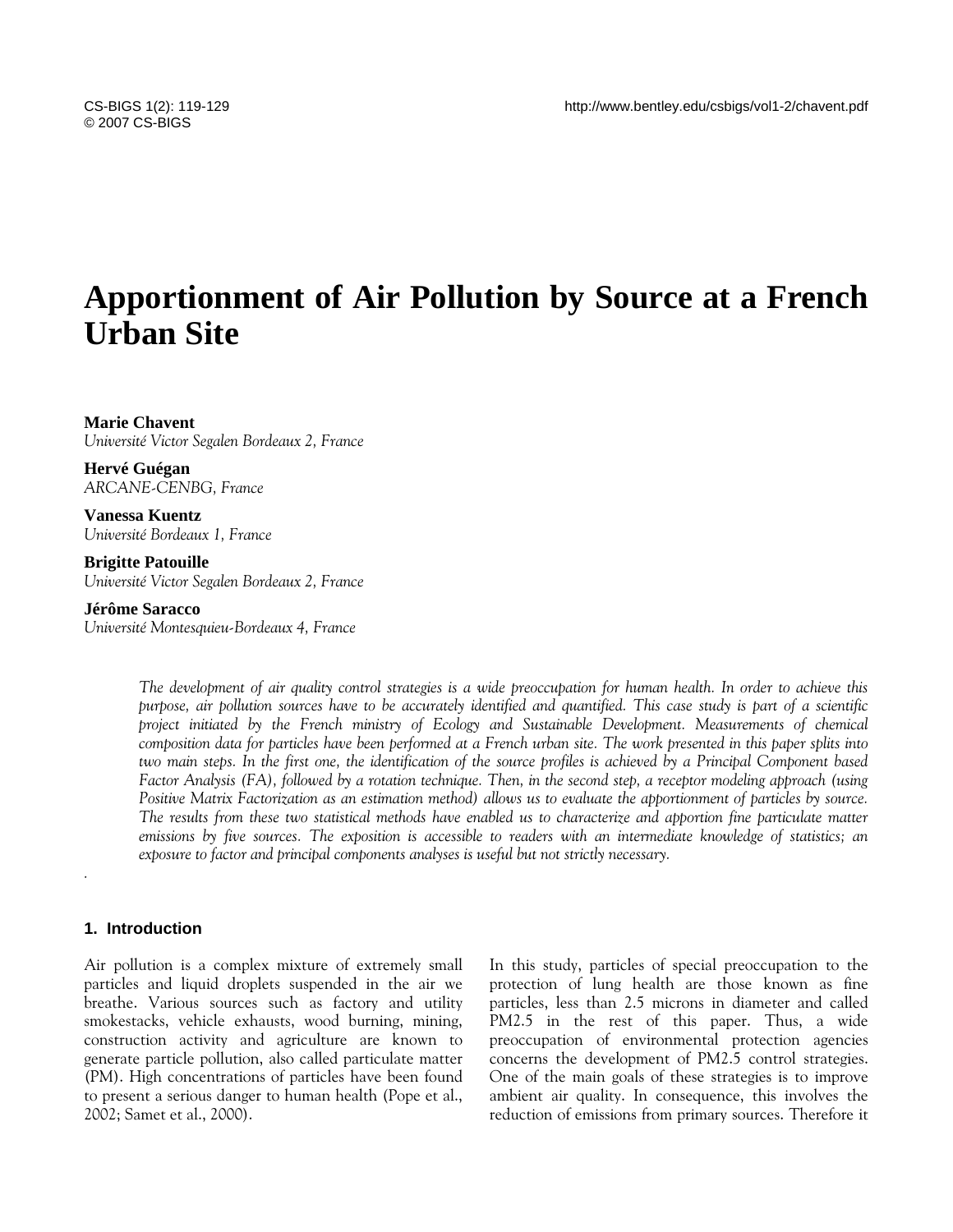# **Apportionment of Air Pollution by Source at a French Urban Site**

#### **Marie Chavent**  *Université Victor Segalen Bordeaux 2, France*

**Hervé Guégan**  *ARCANE-CENBG, France* 

**Vanessa Kuentz**  *Université Bordeaux 1, France* 

## **Brigitte Patouille**

*Université Victor Segalen Bordeaux 2, France* 

## **Jérôme Saracco**

*Université Montesquieu-Bordeaux 4, France* 

*The development of air quality control strategies is a wide preoccupation for human health. In order to achieve this purpose, air pollution sources have to be accurately identified and quantified. This case study is part of a scientific project initiated by the French ministry of Ecology and Sustainable Development. Measurements of chemical composition data for particles have been performed at a French urban site. The work presented in this paper splits into two main steps. In the first one, the identification of the source profiles is achieved by a Principal Component based Factor Analysis (FA), followed by a rotation technique. Then, in the second step, a receptor modeling approach (using Positive Matrix Factorization as an estimation method) allows us to evaluate the apportionment of particles by source. The results from these two statistical methods have enabled us to characterize and apportion fine particulate matter emissions by five sources. The exposition is accessible to readers with an intermediate knowledge of statistics; an exposure to factor and principal components analyses is useful but not strictly necessary.* 

# **1. Introduction**

*.* 

Air pollution is a complex mixture of extremely small particles and liquid droplets suspended in the air we breathe. Various sources such as factory and utility smokestacks, vehicle exhausts, wood burning, mining, construction activity and agriculture are known to generate particle pollution, also called particulate matter (PM). High concentrations of particles have been found to present a serious danger to human health (Pope et al., 2002; Samet et al., 2000).

In this study, particles of special preoccupation to the protection of lung health are those known as fine particles, less than 2.5 microns in diameter and called PM2.5 in the rest of this paper. Thus, a wide preoccupation of environmental protection agencies concerns the development of PM2.5 control strategies. One of the main goals of these strategies is to improve ambient air quality. In consequence, this involves the reduction of emissions from primary sources. Therefore it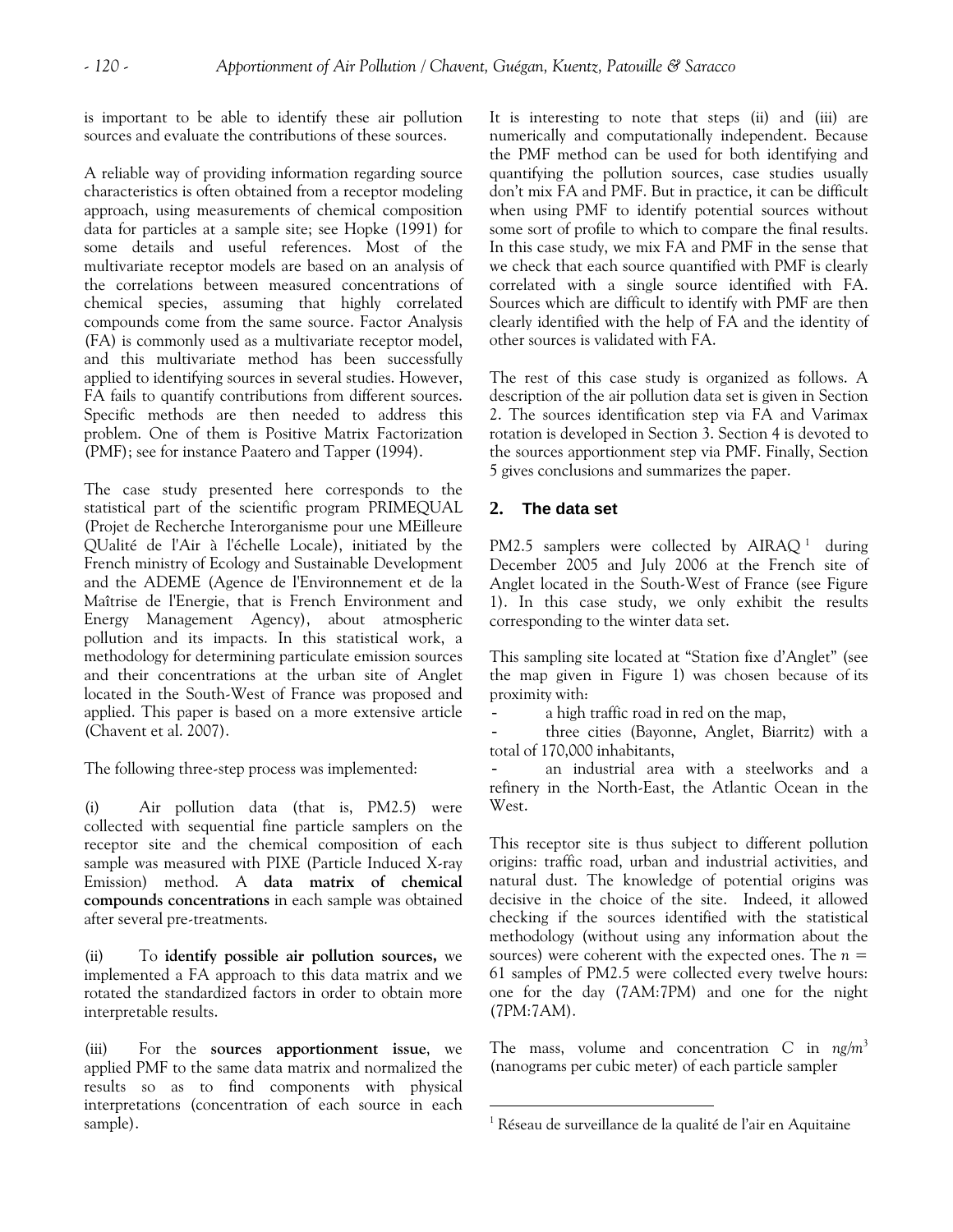is important to be able to identify these air pollution sources and evaluate the contributions of these sources.

A reliable way of providing information regarding source characteristics is often obtained from a receptor modeling approach, using measurements of chemical composition data for particles at a sample site; see Hopke (1991) for some details and useful references. Most of the multivariate receptor models are based on an analysis of the correlations between measured concentrations of chemical species, assuming that highly correlated compounds come from the same source. Factor Analysis (FA) is commonly used as a multivariate receptor model, and this multivariate method has been successfully applied to identifying sources in several studies. However, FA fails to quantify contributions from different sources. Specific methods are then needed to address this problem. One of them is Positive Matrix Factorization (PMF); see for instance Paatero and Tapper (1994).

The case study presented here corresponds to the statistical part of the scientific program PRIMEQUAL (Projet de Recherche Interorganisme pour une MEilleure QUalité de l'Air à l'échelle Locale), initiated by the French ministry of Ecology and Sustainable Development and the ADEME (Agence de l'Environnement et de la Maîtrise de l'Energie, that is French Environment and Energy Management Agency), about atmospheric pollution and its impacts. In this statistical work, a methodology for determining particulate emission sources and their concentrations at the urban site of Anglet located in the South-West of France was proposed and applied. This paper is based on a more extensive article (Chavent et al. 2007).

The following three-step process was implemented:

(i) Air pollution data (that is, PM2.5) were collected with sequential fine particle samplers on the receptor site and the chemical composition of each sample was measured with PIXE (Particle Induced X-ray Emission) method. A **data matrix of chemical compounds concentrations** in each sample was obtained after several pre-treatments.

(ii) To **identify possible air pollution sources,** we implemented a FA approach to this data matrix and we rotated the standardized factors in order to obtain more interpretable results.

<span id="page-1-0"></span>(iii) For the **sources apportionment issue**, we applied PMF to the same data matrix and normalized the results so as to find components with physical interpretations (concentration of each source in each sample).

It is interesting to note that steps (ii) and (iii) are numerically and computationally independent. Because the PMF method can be used for both identifying and quantifying the pollution sources, case studies usually don't mix FA and PMF. But in practice, it can be difficult when using PMF to identify potential sources without some sort of profile to which to compare the final results. In this case study, we mix FA and PMF in the sense that we check that each source quantified with PMF is clearly correlated with a single source identified with FA. Sources which are difficult to identify with PMF are then clearly identified with the help of FA and the identity of other sources is validated with FA.

The rest of this case study is organized as follows. A description of the air pollution data set is given in Section 2. The sources identification step via FA and Varimax rotation is developed in Section 3. Section 4 is devoted to the sources apportionment step via PMF. Finally, Section 5 gives conclusions and summarizes the paper.

# **2. The data set**

 $\overline{a}$ 

PM2.5 samplers were collected by  $AIRAQ$ <sup>[1](#page-1-0)</sup> during December 2005 and July 2006 at the French site of Anglet located in the South-West of France (see Figure 1). In this case study, we only exhibit the results corresponding to the winter data set.

This sampling site located at "Station fixe d'Anglet" (see the map given in Figure 1) was chosen because of its proximity with:

- a high traffic road in red on the map,

- three cities (Bayonne, Anglet, Biarritz) with a total of 170,000 inhabitants,

an industrial area with a steelworks and a refinery in the North-East, the Atlantic Ocean in the West.

This receptor site is thus subject to different pollution origins: traffic road, urban and industrial activities, and natural dust. The knowledge of potential origins was decisive in the choice of the site. Indeed, it allowed checking if the sources identified with the statistical methodology (without using any information about the sources) were coherent with the expected ones. The *n* = 61 samples of PM2.5 were collected every twelve hours: one for the day (7AM:7PM) and one for the night (7PM:7AM).

The mass, volume and concentration *C* in *ng*/*m*<sup>3</sup> (nanograms per cubic meter) of each particle sampler

<sup>&</sup>lt;sup>1</sup> Réseau de surveillance de la qualité de l'air en Aquitaine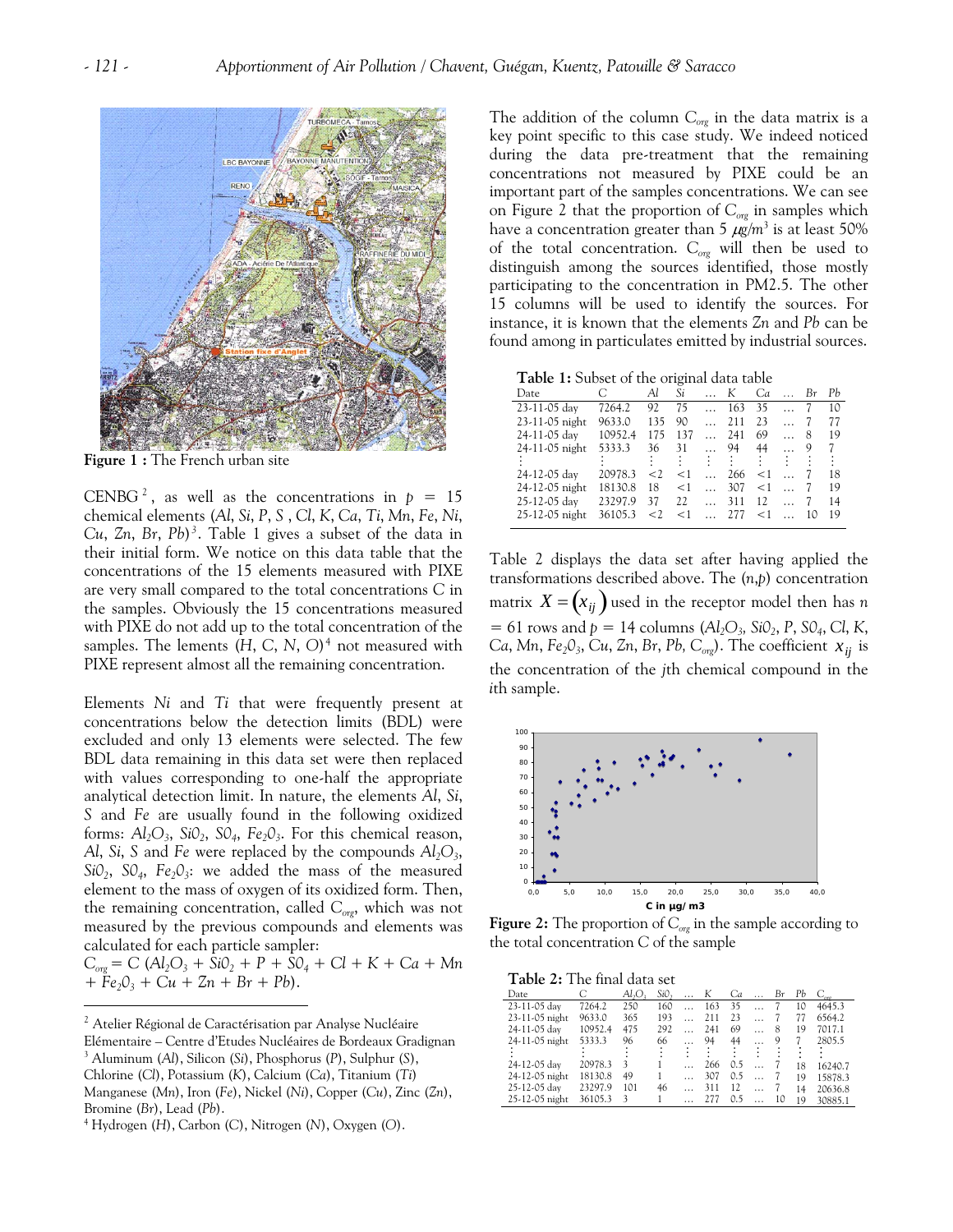

**Figure 1 :** The French urban site

CENBG<sup>[2](#page-2-0)</sup>, as well as the concentrations in  $p = 15$ chemical elements (*Al*, *Si*, *P*, *S* , *Cl*, *K*, *Ca*, *Ti*, *Mn*, *Fe*, *Ni*, *Cu*, *Zn*, *Br*, *Pb*)*[3](#page-2-1)* . Table 1 gives a subset of the data in their initial form. We notice on this data table that the concentrations of the 15 elements measured with PIXE are very small compared to the total concentrations *C* in the samples. Obviously the 15 concentrations measured with PIXE do not add up to the total concentration of the samples. The lements (*H*, *C*, *N*, *O*)[4](#page-2-2) not measured with PIXE represent almost all the remaining concentration.

Elements *Ni* and *Ti* that were frequently present at concentrations below the detection limits (BDL) were excluded and only 13 elements were selected. The few BDL data remaining in this data set were then replaced with values corresponding to one-half the appropriate analytical detection limit. In nature, the elements *Al*, *Si*, *S* and *Fe* are usually found in the following oxidized forms: *Al2O3*, *Si02*, *S04*, *Fe203*. For this chemical reason, *Al*, *Si*, *S* and *Fe* were replaced by the compounds  $Al_2O_3$ ,  $SiO<sub>2</sub>$ ,  $SO<sub>4</sub>$ ,  $Fe<sub>2</sub>O<sub>3</sub>$ : we added the mass of the measured element to the mass of oxygen of its oxidized form. Then, the remaining concentration, called C<sub>org</sub>, which was not measured by the previous compounds and elements was calculated for each particle sampler:

 $C_{\text{org}} = C (Al_2O_3 + SiO_2 + P + SO_4 + Cl + K + Ca + Mn)$  $+ Fe<sub>2</sub>O<sub>3</sub> + Cu + Zn + Br + Pb$ .

 $\overline{a}$ 

The addition of the column  $C_{org}$  in the data matrix is a key point specific to this case study. We indeed noticed during the data pre-treatment that the remaining concentrations not measured by PIXE could be an important part of the samples concentrations. We can see on Figure 2 that the proportion of *Corg* in samples which have a concentration greater than 5  $\mu\text{g}/\text{m}^3$  is at least 50% of the total concentration. *Corg* will then be used to distinguish among the sources identified, those mostly participating to the concentration in PM2.5. The other 15 columns will be used to identify the sources. For instance, it is known that the elements *Zn* and *Pb* can be found among in particulates emitted by industrial sources.

|  |  |  |  |  | Table 1: Subset of the original data table |  |  |
|--|--|--|--|--|--------------------------------------------|--|--|
|--|--|--|--|--|--------------------------------------------|--|--|

| Date           | С       | Al       | Si    | $\ldots$ K |        | Ca       |           | Br  | Pb |
|----------------|---------|----------|-------|------------|--------|----------|-----------|-----|----|
| 23-11-05 day   | 7264.2  | 92       | 75    | $\ddotsc$  | 163    | 35       | $\cdots$  |     | 10 |
| 23-11-05 night | 9633.0  | 135      | 90    | $\ddotsc$  | 211    | 23       | $\cdots$  | 7   | 77 |
| 24-11-05 day   | 10952.4 | 175      | 137   | $\ddotsc$  | 241    | 69       | $\ddotsc$ | 8   | 19 |
| 24-11-05 night | 5333.3  | 36       | 31    |            | 94     | 44       |           | 9   | 7  |
|                |         |          |       |            | 9 G. B |          | - 100     |     |    |
| 24-12-05 day   | 20978.3 | $\leq$ 2 | $<$ 1 | $\dddotsc$ | 266    | $\leq$ 1 |           |     | 18 |
| 24-12-05 night | 18130.8 | 18       | $<$ 1 | $\dddotsc$ | 307    | $<$ 1    |           |     | 19 |
| 25-12-05 day   | 23297.9 | 37       | 22    | $\dddotsc$ | 311    | 12       |           |     | 14 |
| 25-12-05 night | 36105.3 | $\leq$ 2 | $<$ 1 | $\cdots$   | 277    | $<$ 1    |           | -10 | 19 |
|                |         |          |       |            |        |          |           |     |    |

Table 2 displays the data set after having applied the transformations described above. The (*n*,*p*) concentration matrix  $X = (x_{ij})$  used in the receptor model then has *n*  $= 61$  rows and  $p = 14$  columns ( $Al_2O_3$ ,  $SiO_2$ ,  $P$ ,  $SO_4$ ,  $Cl$ ,  $K$ , *Ca*, *Mn*,  $Fe<sub>2</sub>O<sub>3</sub>$ , *Cu*, *Zn*, *Br*, *Pb*, *C<sub>org</sub>*). The coefficient  $x_{ij}$  is the concentration of the *j*th chemical compound in the *i*th sample.



**Figure 2:** The proportion of  $C_{org}$  in the sample according to the total concentration *C* of the sample

**Table 2:** The final data set

| Date           |         | Al.O | SiO, | K   | Ca  | Bτ | Рb | $C_{\text{core}}$ |
|----------------|---------|------|------|-----|-----|----|----|-------------------|
| 23-11-05 day   | 7264.2  | 250  | 160  | 163 | 35  |    | 10 | 4645.3            |
| 23-11-05 night | 9633.0  | 365  | 193  | 211 | 23  |    | 77 | 6564.2            |
| 24-11-05 day   | 10952.4 | 475  | 292  | 241 | 69  | 8  | 19 | 7017.1            |
| 24-11-05 night | 5333.3  | 96   | 66   | 94  | 44  | 9  |    | 2805.5            |
|                |         |      |      |     |     |    |    |                   |
| 24-12-05 day   | 20978.3 | 3    |      | 266 | 0.5 |    | 18 | 16240.7           |
| 24-12-05 night | 18130.8 | 49   |      | 307 | 0.5 |    | 19 | 15878.3           |
| 25-12-05 day   | 23297.9 | 101  | 46   | 311 | 12  |    | 14 | 20636.8           |
| 25-12-05 night | 36105.3 | 3    |      | 277 | 0.5 | 10 | 19 | 30885.1           |

<span id="page-2-0"></span> $2$  Atelier Régional de Caractérisation par Analyse Nucléaire

<span id="page-2-1"></span>Elémentaire – Centre d'Etudes Nucléaires de Bordeaux Gradignan 3 Aluminum (*Al*), Silicon (*Si*), Phosphorus (*P*), Sulphur (*S*),

Chlorine (*Cl*), Potassium (*K*), Calcium (*Ca*), Titanium (*Ti*)

Manganese (*Mn*), Iron (*Fe*), Nickel (*Ni*), Copper (*Cu*), Zinc (*Zn*), Bromine (*Br*), Lead (*Pb*). 4

<span id="page-2-2"></span>Hydrogen (*H*), Carbon (*C*), Nitrogen (*N*), Oxygen (*O*).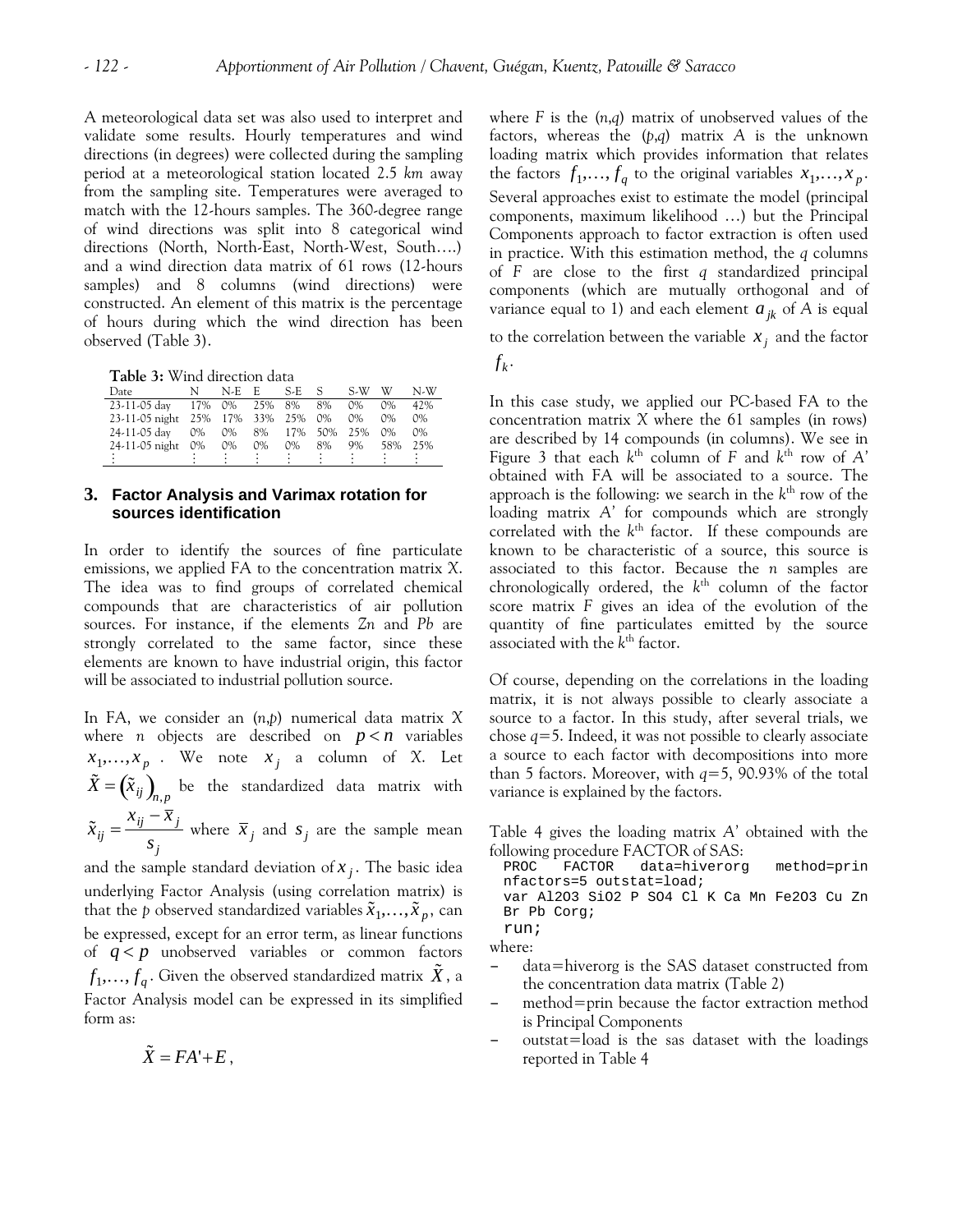A meteorological data set was also used to interpret and validate some results. Hourly temperatures and wind directions (in degrees) were collected during the sampling period at a meteorological station located 2.5 *km* away from the sampling site. Temperatures were averaged to match with the 12-hours samples. The 360-degree range of wind directions was split into 8 categorical wind directions (North, North-East, North-West, South….) and a wind direction data matrix of 61 rows (12-hours samples) and 8 columns (wind directions) were constructed. An element of this matrix is the percentage of hours during which the wind direction has been observed (Table 3).

**Table 3:** Wind direction data  $f_k$ .

| Date                              | N.    | N-E E |       | $S-E-S$       |     | S-W   | W     | N-W   |
|-----------------------------------|-------|-------|-------|---------------|-----|-------|-------|-------|
| 23-11-05 day                      |       |       |       | 17% 0% 25% 8% | 8%  | $0\%$ | $0\%$ | 42%   |
| 23-11-05 night 25% 17% 33% 25% 0% |       |       |       |               |     | $0\%$ | $0\%$ | 0%    |
| 24-11-05 day                      | $0\%$ | $0\%$ |       | 8% 17%        | 50% | 25%   | $0\%$ | $0\%$ |
| 24-11-05 night                    | $0\%$ | $0\%$ | $0\%$ | $0\%$         | 8%  | $9\%$ | 58%   | 25%   |
|                                   |       |       |       |               |     |       |       |       |

## **3. Factor Analysis and Varimax rotation for sources identification**

In order to identify the sources of fine particulate emissions, we applied FA to the concentration matrix *X*. The idea was to find groups of correlated chemical compounds that are characteristics of air pollution sources. For instance, if the elements *Zn* and *Pb* are strongly correlated to the same factor, since these elements are known to have industrial origin, this factor will be associated to industrial pollution source.  $\qquad \qquad$  Of course, depending on the correlations in the loading

In FA, we consider an (*n*,*p*) numerical data matrix *X* where *n* objects are described on  $p < n$  variables  $x_1, \ldots, x_p$  . We note  $x_j$  a column of *X*. Let  $\tilde{X} = \left(\tilde{x}_{ij}\right)_{n,p}$  be the standardized data matrix with  $\tilde{x}_{ij} =$  $x_{ij} - \overline{x}_j$ where  $\bar{x}_j$  and  $s_j$  are the sample mean

*sj* and the sample standard deviation of *x j* . The basic idea

that the *p* observed standardized variables  $\tilde{x}_1, \ldots, \tilde{x}_p$ , can underlying Factor Analysis (using correlation matrix) is be expressed, except for an error term, as linear functions of  $q < p$  unobserved variables or common factors  $f_1$ ,...,  $f_q$ . Given the observed standardized matrix  $\tilde{X}$ , a Factor Analysis model can be expressed in its simplified form as:

where *F* is the (*n*,*q*) matrix of unobserved values of the factors, whereas the (*p*,*q*) matrix *A* is the unknown loading matrix which provides information that relates the factors  $f_1, \ldots, f_q$  to the original variables  $x_1, \ldots, x_p$ . Several approaches exist to estimate the model (principal components, maximum likelihood …) but the Principal Components approach to factor extraction is often used in practice. With this estimation method, the *q* columns of *F* are close to the first *q* standardized principal components (which are mutually orthogonal and of variance equal to 1) and each element  $a_{jk}$  of A is equal

to the correlation between the variable  $x_j$  and the factor

In this case study, we applied our PC-based FA to the concentration matrix *X* where the 61 samples (in rows) are described by 14 compounds (in columns). We see in Figure 3 that each  $k<sup>th</sup>$  column of F and  $k<sup>th</sup>$  row of A' obtained with FA will be associated to a source. The approach is the following: we search in the  $k<sup>th</sup>$  row of the loading matrix *A'* for compounds which are strongly correlated with the  $k<sup>th</sup>$  factor. If these compounds are known to be characteristic of a source, this source is associated to this factor. Because the *n* samples are chronologically ordered, the  $k<sup>th</sup>$  column of the factor score matrix *F* gives an idea of the evolution of the quantity of fine particulates emitted by the source associated with the *k*th factor.

matrix, it is not always possible to clearly associate a source to a factor. In this study, after several trials, we chose *q*=5. Indeed, it was not possible to clearly associate a source to each factor with decompositions into more than 5 factors. Moreover, with *q*=5, 90.93% of the total variance is explained by the factors.

Table 4 gives the loading matrix *A'* obtained with the following procedure FACTOR of SAS:

data=hiverorg method=prin nfactors=5 outstat=load; var Al2O3 SiO2 P SO4 Cl K Ca Mn Fe2O3 Cu Zn Br Pb Corg;

run; where:

- data=hiverorg is the SAS dataset constructed from the concentration data matrix (Table 2)
- method=prin because the factor extraction method is Principal Components
- outstat=load is the sas dataset with the loadings  $\tilde{X} = FA' + E$ , reported in Table 4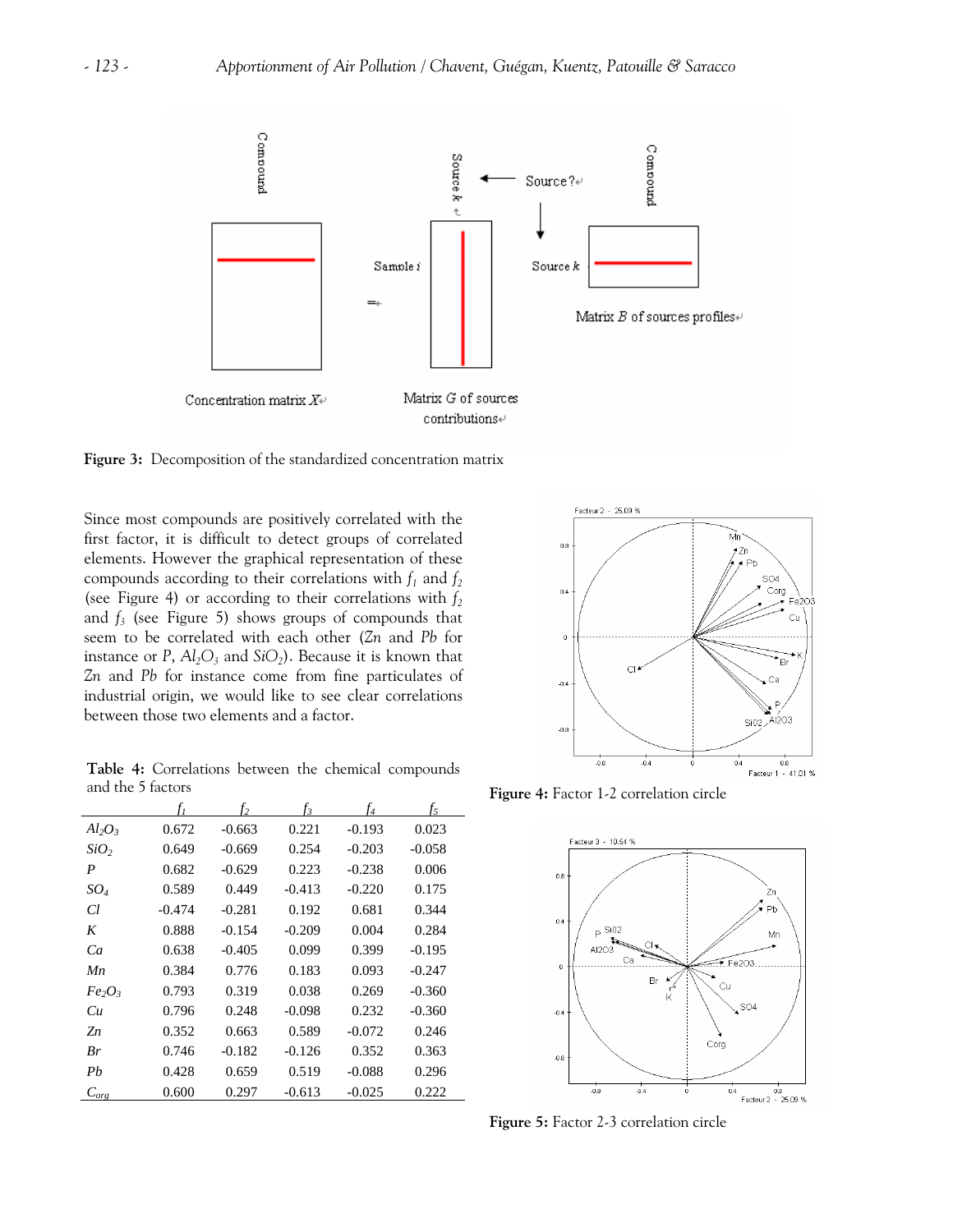

**Figure 3:** Decomposition of the standardized concentration matrix

Since most compounds are positively correlated with the first factor, it is difficult to detect groups of correlated elements. However the graphical representation of these compounds according to their correlations with  $f_1$  and  $f_2$ (see Figure 4) or according to their correlations with  $f_2$ and  $f_3$  (see Figure 5) shows groups of compounds that seem to be correlated with each other (*Zn* and *Pb* for instance or *P*,  $Al_2O_3$  and  $SiO_2$ ). Because it is known that *Zn* and *Pb* for instance come from fine particulates of industrial origin, we would like to see clear correlations between those two elements and a factor.

**Table 4:** Correlations between the chemical compounds and the 5 factors

|                                        | f,       | f <sub>2</sub> | fз       | f4       | f5       |
|----------------------------------------|----------|----------------|----------|----------|----------|
| $Al_2O_3$                              | 0.672    | $-0.663$       | 0.221    | $-0.193$ | 0.023    |
| SiO <sub>2</sub>                       | 0.649    | $-0.669$       | 0.254    | $-0.203$ | $-0.058$ |
| $\boldsymbol{P}$                       | 0.682    | $-0.629$       | 0.223    | $-0.238$ | 0.006    |
| $SO_4$                                 | 0.589    | 0.449          | $-0.413$ | $-0.220$ | 0.175    |
| Cl                                     | $-0.474$ | $-0.281$       | 0.192    | 0.681    | 0.344    |
| K                                      | 0.888    | $-0.154$       | $-0.209$ | 0.004    | 0.284    |
| Ca                                     | 0.638    | $-0.405$       | 0.099    | 0.399    | $-0.195$ |
| Mn                                     | 0.384    | 0.776          | 0.183    | 0.093    | $-0.247$ |
| $Fe_2O_3$                              | 0.793    | 0.319          | 0.038    | 0.269    | $-0.360$ |
| Cи                                     | 0.796    | 0.248          | $-0.098$ | 0.232    | $-0.360$ |
| Zn                                     | 0.352    | 0.663          | 0.589    | $-0.072$ | 0.246    |
| Br                                     | 0.746    | $-0.182$       | $-0.126$ | 0.352    | 0.363    |
| Pb                                     | 0.428    | 0.659          | 0.519    | $-0.088$ | 0.296    |
| $C_{\ensuremath{\textit{org}}\xspace}$ | 0.600    | 0.297          | $-0.613$ | $-0.025$ | 0.222    |



**Figure 4:** Factor 1-2 correlation circle



**Figure 5:** Factor 2-3 correlation circle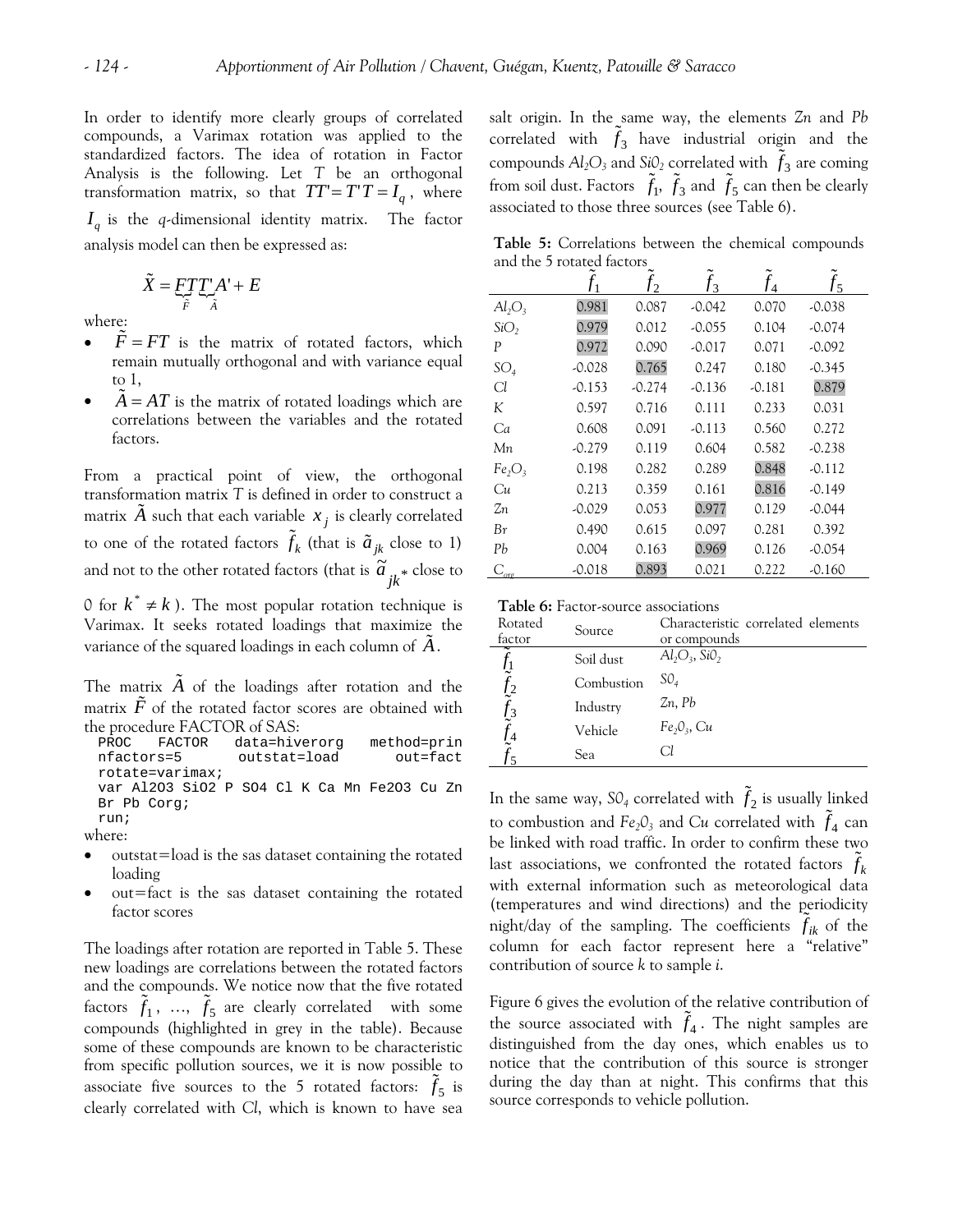In order to identify more clearly groups of correlated compounds, a Varimax rotation was applied to the standardized factors. The idea of rotation in Factor Analysis is the following. Let *T* be an orthogonal transformation matrix, so that  $TT' = T'T = I_a$ , where *q I* is the *q*-dimensional identity matrix. The factor analysis model can then be expressed as:

$$
\tilde{X} = \underbrace{FT}_{\tilde{F}} T_{\tilde{A}}' A' + E
$$

where:

- $\tilde{F} = FT$  is the matrix of rotated factors, which remain mutually orthogonal and with variance equal to 1,
- $A = AT$  is the matrix of rotated loadings which are correlations between the variables and the rotated factors.

From a practical point of view, the orthogonal transformation matrix *T* is defined in order to construct a matrix *A* such that each variable  $x_j$  is clearly correlated to one of the rotated factors  $\tilde{f}_k$  (that is  $\tilde{a}_{jk}$  close to 1) and not to the other rotated factors (that is  $\tilde{a}_{jk}^*$  close to

0 for  $k^* \neq k$ ). The most popular rotation technique is Varimax. It seeks rotated loadings that maximize the variance of the squared loadings in each column of  $\tilde{A}$ .

The matrix  $\tilde{A}$  of the loadings after rotation and the matrix  $F$  of the rotated factor scores are obtained with the procedure FACTOR of SAS:

| PROC FACTOR          |  | data=hiverorq |              |  |  | method=prin |                                             |  |  |
|----------------------|--|---------------|--------------|--|--|-------------|---------------------------------------------|--|--|
| nfactors=5           |  |               | outstat=load |  |  |             | out=fact                                    |  |  |
| $rotate = varima x;$ |  |               |              |  |  |             |                                             |  |  |
|                      |  |               |              |  |  |             | var Al2O3 SiO2 P SO4 Cl K Ca Mn Fe2O3 Cu Zn |  |  |
| Br Pb Corg;          |  |               |              |  |  |             |                                             |  |  |
| run;                 |  |               |              |  |  |             |                                             |  |  |

where:

- outstat=load is the sas dataset containing the rotated loading
- $out=$  fact is the sas dataset containing the rotated factor scores

The loadings after rotation are reported in Table 5. These new loadings are correlations between the rotated factors and the compounds. We notice now that the five rotated factors  $\tilde{f}_1$ , ...,  $\tilde{f}_5$  are clearly correlated with some compounds (highlighted in grey in the table). Because some of these compounds are known to be characteristic from specific pollution sources, we it is now possible to associate five sources to the 5 rotated factors:  $\tilde{f}_5$  is clearly correlated with *Cl*, which is known to have sea

salt origin. In the same way, the elements *Zn* and *Pb* correlated with  $\tilde{f}_3$  have industrial origin and the compounds  $Al_2O_3$  and  $SiO_2$  correlated with  $\tilde{f}_3$  are coming from soil dust. Factors  $\tilde{f}_1$ ,  $\tilde{f}_3$  and  $\tilde{f}_5$  can then be clearly associated to those three sources (see Table 6).

**Table 5:** Correlations between the chemical compounds and the 5 rotated factors

| 0.981<br>$Al_2O_3$<br>0.087<br>$-0.042$<br>0.070<br>$-0.038$<br>0.979<br>SiO <sub>2</sub><br>0.012<br>0.104<br>$-0.055$<br>$-0.074$<br>0.972<br>0.090<br>$-0.017$<br>0.071<br>$-0.092$<br>P<br>0.765<br>0.247<br>0.180<br>SO <sub>4</sub><br>$-0.028$<br>$-0.345$<br>0.879<br>$-0.274$<br>$-0.181$<br>Cl<br>$-0.153$<br>$-0.136$<br>0.597<br>K<br>0.716<br>0.111<br>0.233<br>0.031<br>Ca<br>0.608<br>0.091<br>$-0.113$<br>0.560<br>0.272<br>$-0.238$<br>$-0.279$<br>0.119<br>0.604<br>0.582<br>Мn<br>0.848<br>0.289<br>0.198<br>0.282<br>$-0.112$<br>Fe <sub>2</sub> O <sub>3</sub><br>0.816<br>0.359<br>0.161<br>$-0.149$<br>Cи<br>0.213<br>0.977<br>0.053<br>0.129<br>$-0.029$<br>$-0.044$<br>Zп<br>0.097<br>0.281<br>0.490<br>0.615<br>0.392<br>Br<br>0.969<br>Pb<br>0.004<br>0.163<br>0.126<br>$-0.054$<br>0.893<br>$-0.018$<br>0.021<br>0.222<br>$-0.160$ |                                 | $\mathfrak{D}$ | $\mathsf{I}_3$ | $\overline{4}$ | J٢ |  |
|----------------------------------------------------------------------------------------------------------------------------------------------------------------------------------------------------------------------------------------------------------------------------------------------------------------------------------------------------------------------------------------------------------------------------------------------------------------------------------------------------------------------------------------------------------------------------------------------------------------------------------------------------------------------------------------------------------------------------------------------------------------------------------------------------------------------------------------------------------------|---------------------------------|----------------|----------------|----------------|----|--|
|                                                                                                                                                                                                                                                                                                                                                                                                                                                                                                                                                                                                                                                                                                                                                                                                                                                                |                                 |                |                |                |    |  |
|                                                                                                                                                                                                                                                                                                                                                                                                                                                                                                                                                                                                                                                                                                                                                                                                                                                                |                                 |                |                |                |    |  |
|                                                                                                                                                                                                                                                                                                                                                                                                                                                                                                                                                                                                                                                                                                                                                                                                                                                                |                                 |                |                |                |    |  |
|                                                                                                                                                                                                                                                                                                                                                                                                                                                                                                                                                                                                                                                                                                                                                                                                                                                                |                                 |                |                |                |    |  |
|                                                                                                                                                                                                                                                                                                                                                                                                                                                                                                                                                                                                                                                                                                                                                                                                                                                                |                                 |                |                |                |    |  |
|                                                                                                                                                                                                                                                                                                                                                                                                                                                                                                                                                                                                                                                                                                                                                                                                                                                                |                                 |                |                |                |    |  |
|                                                                                                                                                                                                                                                                                                                                                                                                                                                                                                                                                                                                                                                                                                                                                                                                                                                                |                                 |                |                |                |    |  |
|                                                                                                                                                                                                                                                                                                                                                                                                                                                                                                                                                                                                                                                                                                                                                                                                                                                                |                                 |                |                |                |    |  |
|                                                                                                                                                                                                                                                                                                                                                                                                                                                                                                                                                                                                                                                                                                                                                                                                                                                                |                                 |                |                |                |    |  |
|                                                                                                                                                                                                                                                                                                                                                                                                                                                                                                                                                                                                                                                                                                                                                                                                                                                                |                                 |                |                |                |    |  |
|                                                                                                                                                                                                                                                                                                                                                                                                                                                                                                                                                                                                                                                                                                                                                                                                                                                                |                                 |                |                |                |    |  |
|                                                                                                                                                                                                                                                                                                                                                                                                                                                                                                                                                                                                                                                                                                                                                                                                                                                                |                                 |                |                |                |    |  |
|                                                                                                                                                                                                                                                                                                                                                                                                                                                                                                                                                                                                                                                                                                                                                                                                                                                                |                                 |                |                |                |    |  |
|                                                                                                                                                                                                                                                                                                                                                                                                                                                                                                                                                                                                                                                                                                                                                                                                                                                                | $C_{\textit{\scriptsize{org}}}$ |                |                |                |    |  |

| Table 6: Factor-source associations |  |
|-------------------------------------|--|
|-------------------------------------|--|

| Rotated<br>factor                          | Source     | Characteristic correlated elements<br>or compounds |
|--------------------------------------------|------------|----------------------------------------------------|
|                                            | Soil dust  | $Al_2O_3$ , SiO <sub>2</sub>                       |
|                                            | Combustion | SO <sub>4</sub>                                    |
| $\frac{J_2}{c}$<br>$\frac{f_3}{\tilde{c}}$ | Industry   | $2n$ , Pb                                          |
|                                            | Vehicle    | $Fe_2O_3$ , Cu                                     |
|                                            | Sea        | Сl                                                 |

In the same way,  $\mathbb{SO}_4$  correlated with  $\tilde{f}_2$  is usually linked to combustion and  $Fe<sub>2</sub>O<sub>3</sub>$  and *Cu* correlated with  $\tilde{f}<sub>4</sub>$  can be linked with road traffic. In order to confirm these two last associations, we confronted the rotated factors  $\tilde{f}_k$ with external information such as meteorological data (temperatures and wind directions) and the periodicity night/day of the sampling. The coefficients  $\tilde{f}_{ik}$  of the column for each factor represent here a "relative" contribution of source *k* to sample *i*.

Figure 6 gives the evolution of the relative contribution of the source associated with  $\tilde{f}_4$ . The night samples are distinguished from the day ones, which enables us to notice that the contribution of this source is stronger during the day than at night. This confirms that this source corresponds to vehicle pollution.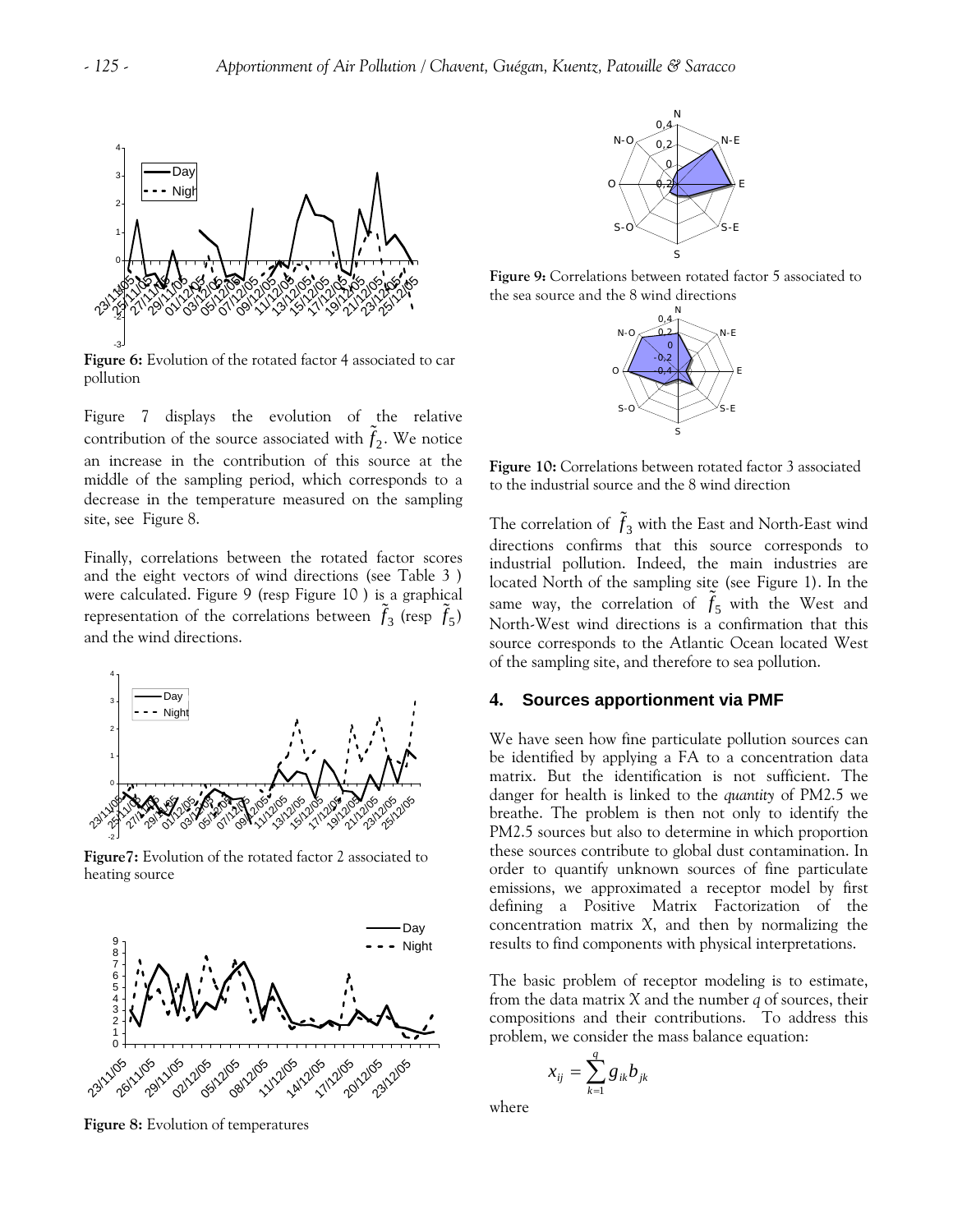

**Figure 6:** Evolution of the rotated factor 4 associated to car pollution

Figure 7 displays the evolution of the relative contribution of the source associated with  $\tilde{f}_2$ . We notice an increase in the contribution of this source at the middle of the sampling period, which corresponds to a decrease in the temperature measured on the sampling site, see Figure 8.

Finally, correlations between the rotated factor scores and the eight vectors of wind directions (see Table 3 ) were calculated. Figure 9 (resp Figure 10 ) is a graphical representation of the correlations between  $\tilde{f}_3$  (resp  $\tilde{f}_5$ ) and the wind directions.



**Figure7:** Evolution of the rotated factor 2 associated to heating source



**Figure 8:** Evolution of temperatures



**Figure 9:** Correlations between rotated factor 5 associated to the sea source and the 8 wind directions



**Figure 10:** Correlations between rotated factor 3 associated to the industrial source and the 8 wind direction

The correlation of  $\tilde{f}_3$  with the East and North-East wind directions confirms that this source corresponds to industrial pollution. Indeed, the main industries are located North of the sampling site (see Figure 1). In the same way, the correlation of  $f_5$  with the West and North-West wind directions is a confirmation that this source corresponds to the Atlantic Ocean located West of the sampling site, and therefore to sea pollution.

#### **4. Sources apportionment via PMF**

We have seen how fine particulate pollution sources can be identified by applying a FA to a concentration data matrix. But the identification is not sufficient. The danger for health is linked to the *quantity* of PM2.5 we breathe. The problem is then not only to identify the PM2.5 sources but also to determine in which proportion these sources contribute to global dust contamination. In order to quantify unknown sources of fine particulate emissions, we approximated a receptor model by first defining a Positive Matrix Factorization of the concentration matrix *X*, and then by normalizing the results to find components with physical interpretations.

The basic problem of receptor modeling is to estimate, from the data matrix *X* and the number *q* of sources, their compositions and their contributions. To address this problem, we consider the mass balance equation:

$$
x_{ij} = \sum_{k=1}^q g_{ik} b_{jk}
$$

where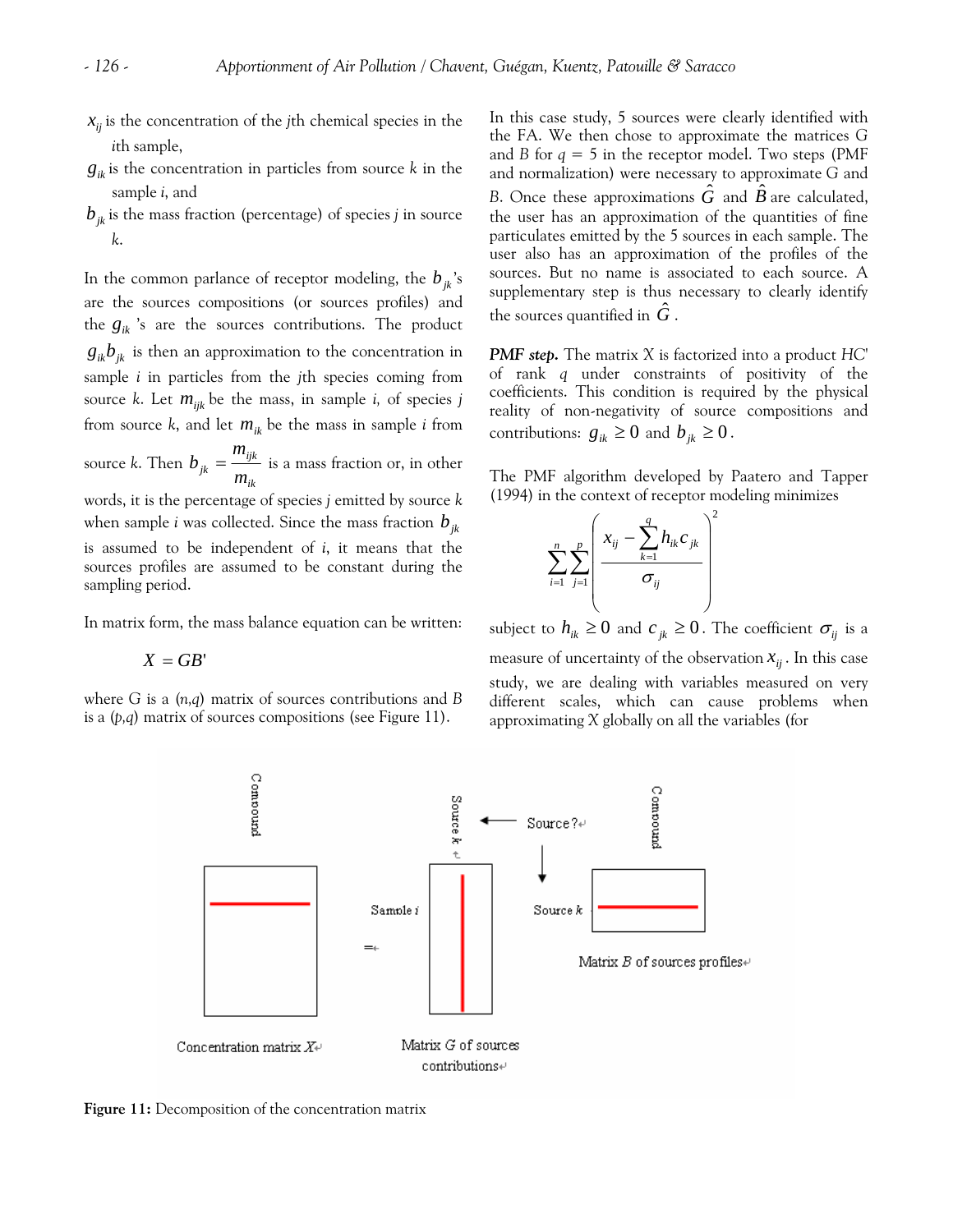- $x_{ij}$  is the concentration of the *j*th chemical species in the *i*th sample,
- $g_{ik}$  is the concentration in particles from source  $k$  in the sample *i*, and
- $b_{ik}$  is the mass fraction (percentage) of species *j* in source *k*.

In the common parlance of receptor modeling, the  $b_{jk}$ 's are the sources compositions (or sources profiles) and the  $g_{ik}$  's are the sources contributions. The product  $g_{ik}b_{jk}$  is then an approximation to the concentration in sample *i* in particles from the *j*th species coming from source *k*. Let  $m_{ijk}$  be the mass, in sample *i*, of species *j* from source  $k$ , and let  $m_{ik}$  be the mass in sample  $i$  from

source *k*. Then *ik ijk m m*  $b_{jk} = \frac{m_{ijk}}{j}$  is a mass fraction or, in other

words, it is the percentage of species *j* emitted by source *k* when sample  $i$  was collected. Since the mass fraction  $b_{jk}$ is assumed to be independent of *i*, it means that the sources profiles are assumed to be constant during the sampling period.

where *G* is a (*n,q*) matrix of sources contributions and *B* is a (*p,q*) matrix of sources compositions (see [Figure 11\)](#page-7-0).

In this case study, 5 sources were clearly identified with the FA. We then chose to approximate the matrices *G* and *B* for  $q = 5$  in the receptor model. Two steps (PMF and normalization) were necessary to approximate *G* and *B*. Once these approximations  $\tilde{G}$  and  $\tilde{B}$  are calculated, the user has an approximation of the quantities of fine particulates emitted by the 5 sources in each sample. The user also has an approximation of the profiles of the sources. But no name is associated to each source. A supplementary step is thus necessary to clearly identify the sources quantified in  $\ddot{G}$ .

*PMF step.* The matrix *X* is factorized into a product *HC'* of rank *q* under constraints of positivity of the coefficients. This condition is required by the physical reality of non-negativity of source compositions and contributions:  $g_{ik} \geq 0$  and  $b_{ik} \geq 0$ .

The PMF algorithm developed by Paatero and Tapper (1994) in the context of receptor modeling minimizes

$$
\sum_{i=1}^{n} \sum_{j=1}^{p} \left( \frac{x_{ij} - \sum_{k=1}^{q} h_{ik} c_{jk}}{\sigma_{ij}} \right)^2
$$

In matrix form, the mass balance equation can be written: subject to  $h_{ik} \geq 0$  and  $c_{ik} \geq 0$ . The coefficient  $\sigma_{ij}$  is a  $X = GB'$  measure of uncertainty of the observation  $x_{ij}$ . In this case study, we are dealing with variables measured on very different scales, which can cause problems when approximating *X* globally on all the variables (for



<span id="page-7-0"></span>**Figure 11:** Decomposition of the concentration matrix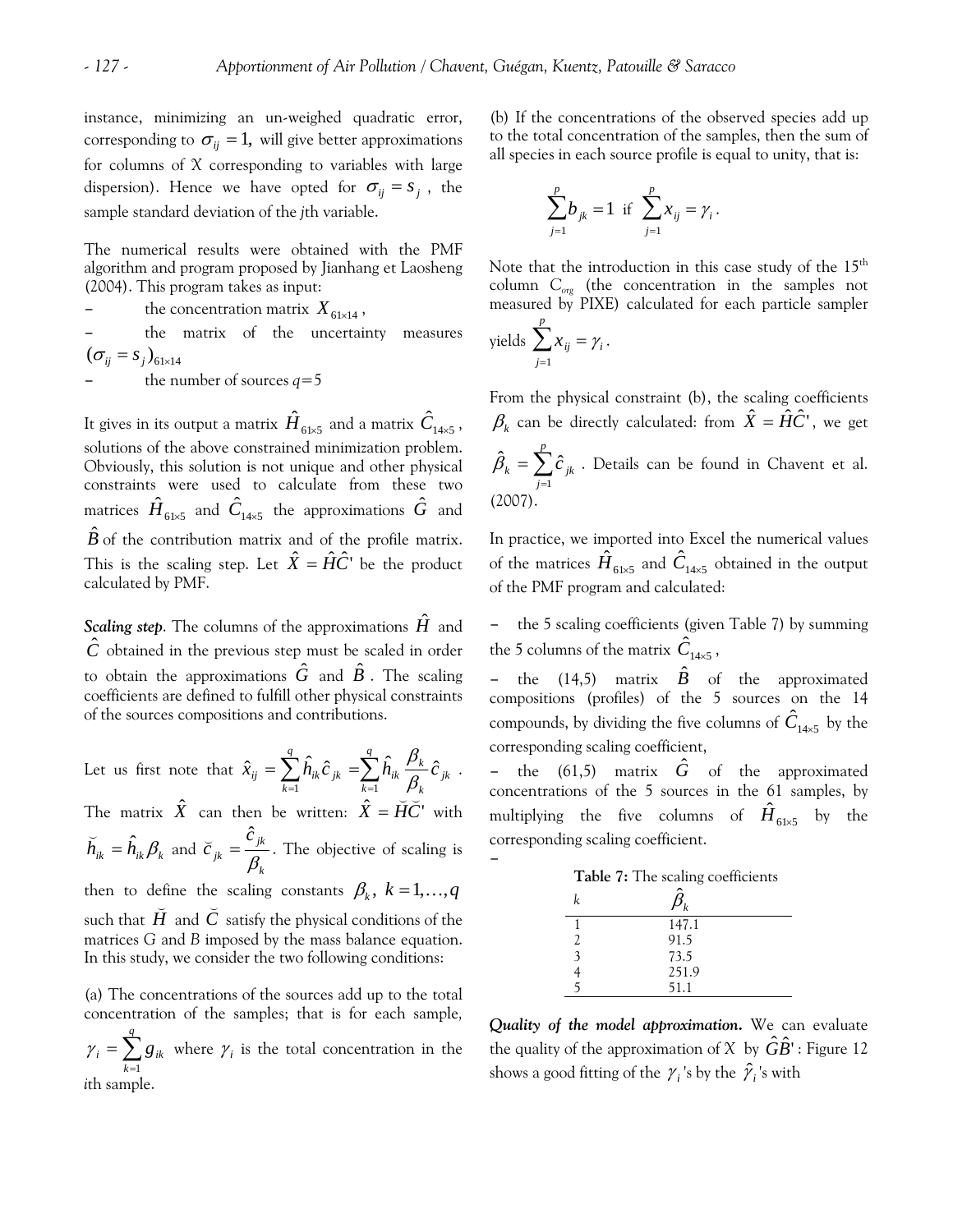instance, minimizing an un-weighed quadratic error, corresponding to  $\sigma_{ii} = 1$ , will give better approximations for columns of *X* corresponding to variables with large dispersion). Hence we have opted for  $\sigma_{ij} = s_j$ , the sample standard deviation of the *j*th variable.

The numerical results were obtained with the PMF algorithm and program proposed by Jianhang et Laosheng (2004). This program takes as input:

the concentration matrix  $X_{61 \times 14}$ ,

the matrix of the uncertainty measures  $({\sigma_{ij}} = s_j)_{61 \times 14}$ 

the number of sources  $q=5$ 

It gives in its output a matrix  ${\hat{H}}_{6\text{ls}5}$  and a matrix  ${\hat{C}}_{\text{14x5}}$  , solutions of the above constrained minimization problem. Obviously, this solution is not unique and other physical constraints were used to calculate from these two matrices  $\hat{H}_{61\times 5}$  and  $\hat{C}_{14\times 5}$  the approximations  $\hat{G}$  and  $\hat{B}$  of the contribution matrix and of the profile matrix. This is the scaling step. Let  $\hat{X} = \hat{H}\hat{C}$ <sup>*c*</sup> be the product calculated by PMF.

*Scaling step*. The columns of the approximations *H*ˆ and  $\hat{C}$  obtained in the previous step must be scaled in order to obtain the approximations  $\hat{G}$  and  $\hat{B}$  . The scaling coefficients are defined to fulfill other physical constraints of the sources compositions and contributions.

Let us first note that  $\hat{x}_{ij} = \sum_{k=1}^{1} \hat{h}_{ik} \hat{c}_{jk} = \sum_{k=1}^{1}$ *q k jk k*  $\frac{\mu_k}{a}$ *q k*  $\hat{x}_{ij} = \sum h_{ik}\hat{c}_{jk} = \sum h_{ik}\frac{\mu_{k}}{\rho}\hat{c}_{jk}$  $\hat{x}_{ij} = \sum_{k=1}^{q} \hat{h}_{ik} \hat{c}_{jk} = \sum_{k=1}^{q} \hat{h}_{ik} \frac{\beta_{k}}{\beta_{k}} \hat{c}_{jk}$ .

The matrix  $\hat{X}$  can then be written:  $\hat{X} = \check{H}\check{C}$  with  $\breve{h}_{ik} = \hat{h}_{ik} \beta_k$  and *k jk jk c c*  $\beta$  $\breve{c}_{ik} = \frac{\hat{c}_{jk}}{2}$ . The objective of scaling is then to define the scaling constants  $\beta_k$ ,  $k = 1, ..., q$ 

<span id="page-8-0"></span>such that  $\bar{H}$  and  $C$  satisfy the physical conditions of the matrices *G* and *B* imposed by the mass balance equation. In this study, we consider the two following conditions:

(a) The concentrations of the sources add up to the total concentration of the samples; that is for each sample*,*   $\sum_{k=1}^{1} g_{ik}$  where = *q k*  $g_i = \sum g_{ik}$ 1  $\gamma_i = \sum g_{ik}$  where  $\gamma_i$  is the total concentration in the *i*th sample.

(b) If the concentrations of the observed species add up to the total concentration of the samples, then the sum of all species in each source profile is equal to unity, that is:

$$
\sum_{j=1}^p b_{jk} = 1 \text{ if } \sum_{j=1}^p x_{ij} = \gamma_i.
$$

Note that the introduction in this case study of the 15<sup>th</sup> column *Corg* (the concentration in the samples not measured by PIXE) calculated for each particle sampler

yields 
$$
\sum_{j=1}^{p} x_{ij} = \gamma_i.
$$

–

From the physical constraint (b), the scaling coefficients  $\beta_k$  can be directly calculated: from  $\hat{X} = \hat{H}\hat{C}$ ', we get  $=\sum_{j=1}^{N} \hat{c}_{jk}$  . Details can be found in Chavent et al. (2007). *p j*  $\hat{c}_{~jk}$ 1  $\hat{\beta}_k = \sum \hat{c}$ 

In practice, we imported into Excel the numerical values of the matrices  ${\hat H}_{61\times5}$  and  ${\hat C}_{14\times5}$  obtained in the output of the PMF program and calculated:

the 5 scaling coefficients (given [Table 7\)](#page-8-0) by summing the 5 columns of the matrix  $\hat{C}_{14\times 5}$ ,

– the  $(14,5)$  matrix  $\hat{B}$  of the approximated compositions (profiles) of the 5 sources on the 14 compounds, by dividing the five columns of  $\hat{C}_{14\times5}$  by the corresponding scaling coefficient,

– the (61,5) matrix *G*ˆ of the approximated concentrations of the 5 sources in the 61 samples, by multiplying the five columns of  $\hat{H}_{61\times5}$  by the corresponding scaling coefficient.

|                         | Table 7: The scaling coefficients |
|-------------------------|-----------------------------------|
| k                       |                                   |
|                         | 147.1                             |
| $\overline{2}$          | 91.5                              |
| $\overline{\mathbf{3}}$ | 73.5                              |
|                         | 251.9                             |
|                         | 51.1                              |
|                         |                                   |

*Quality of the model approximation.* We can evaluate the quality of the approximation of  $X$  by  $\hat{G}\hat{B}$ ': Figure 12 shows a good fitting of the  $\gamma_i$ 's by the  $\hat{\gamma_i}$ 's with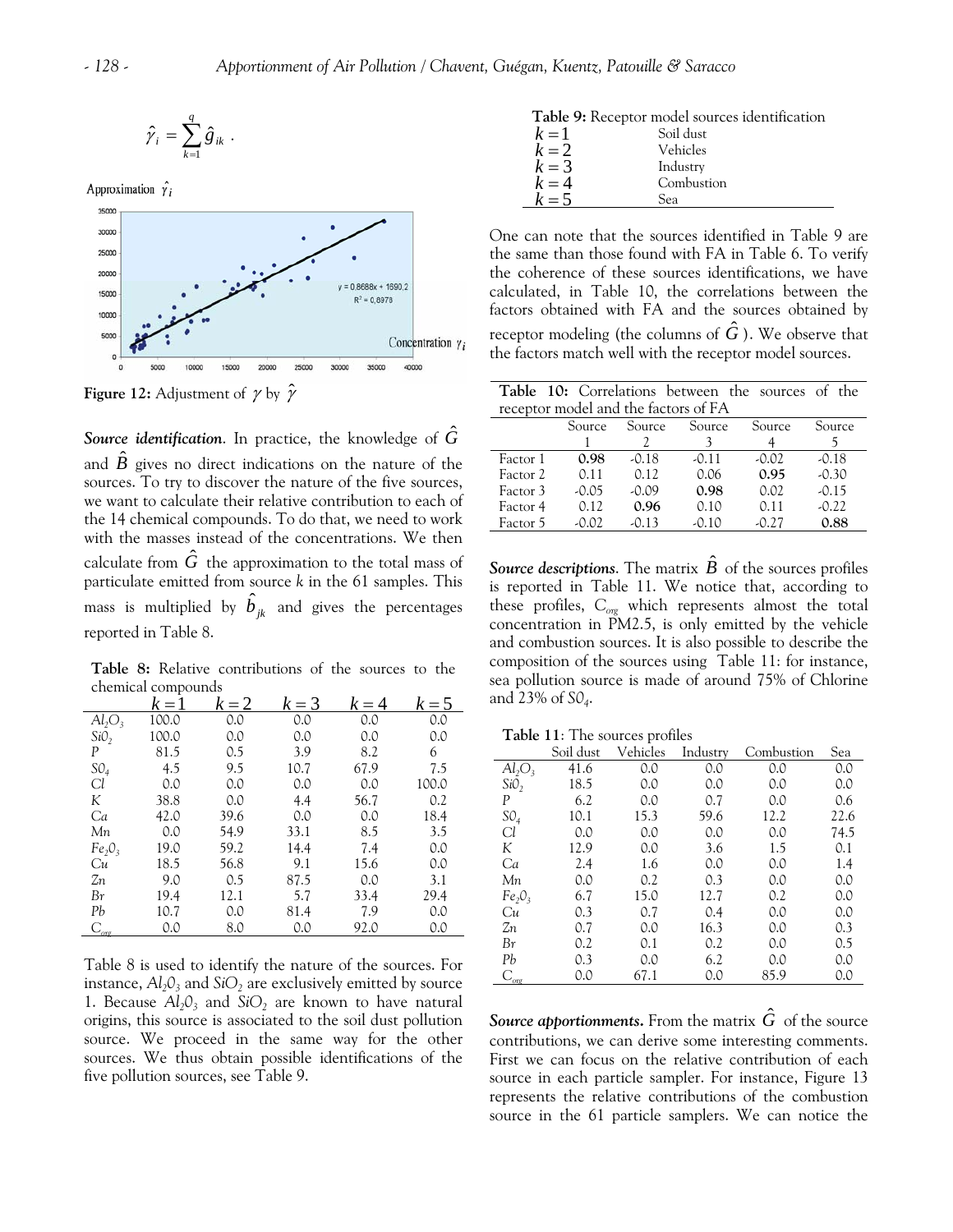<span id="page-9-1"></span>

$$
\hat{\gamma}_i = \sum_{k=1}^q \hat{g}_{ik}.
$$

Approximation  $\hat{\gamma}$ 



<span id="page-9-2"></span>**Figure 12:** Adjustment of  $\gamma$  by  $\hat{\gamma}$ 

*Source identification.* In practice, the knowledge of  $\hat{G}$ and  $\hat{B}$  gives no direct indications on the nature of the sources. To try to discover the nature of the five sources, we want to calculate their relative contribution to each of the 14 chemical compounds. To do that, we need to work with the masses instead of the concentrations. We then calculate from  $\hat{G}$  the approximation to the total mass of particulate emitted from source *k* in the 61 samples. This mass is multiplied by  $\hat{b}_{jk}^{\phantom{\dag}}$  and gives the percentages reported in [Table 8.](#page-9-0)

<span id="page-9-0"></span>**Table 8:** Relative contributions of the sources to the chemical compounds

<span id="page-9-3"></span>

|                                | $k=1$ | $k=2$ | $k = 3$ | $k = 4$ | $k=5$ |
|--------------------------------|-------|-------|---------|---------|-------|
| $Al_2O_3$                      | 100.0 | 0.0   | 0.0     | 0.0     | 0.0   |
| SiO <sub>2</sub>               | 100.0 | 0.0   | 0.0     | 0.0     | 0.0   |
| P                              | 81.5  | 0.5   | 3.9     | 8.2     | 6     |
| SO <sub>4</sub>                | 4.5   | 9.5   | 10.7    | 67.9    | 7.5   |
| Cl                             | 0.0   | 0.0   | 0.0     | 0.0     | 100.0 |
| K                              | 38.8  | 0.0   | 4.4     | 56.7    | 0.2   |
| Ca                             | 42.0  | 39.6  | 0.0     | 0.0     | 18.4  |
| Мn                             | 0.0   | 54.9  | 33.1    | 8.5     | 3.5   |
| Fe <sub>2</sub> O <sub>3</sub> | 19.0  | 59.2  | 14.4    | 7.4     | 0.0   |
| Cи                             | 18.5  | 56.8  | 9.1     | 15.6    | 0.0   |
| Zп                             | 9.0   | 0.5   | 87.5    | 0.0     | 3.1   |
| Βr                             | 19.4  | 12.1  | 5.7     | 33.4    | 29.4  |
| Pb                             | 10.7  | 0.0   | 81.4    | 7.9     | 0.0   |
| $\mathcal{C}_{\text{or}}$      | 0.0   | 8.0   | 0.0     | 92.0    | 0.0   |

[Table 8](#page-9-0) is used to identify the nature of the sources. For instance,  $Al_2O_3$  and  $SiO_2$  are exclusively emitted by source 1. Because  $Al_2O_3$  and  $SiO_2$  are known to have natural origins, this source is associated to the soil dust pollution source. We proceed in the same way for the other sources. We thus obtain possible identifications of the five pollution sources, see [Table 9.](#page-9-1)

| $k=1$   | Soil dust  |
|---------|------------|
| $k=2$   | Vehicles   |
| $k=3$   | Industry   |
| $k = 4$ | Combustion |
| $k=5$   | Sea        |
|         |            |

One can note that the sources identified in [Table 9](#page-9-1) are the same than those found with FA in Table 6. To verify the coherence of these sources identifications, we have calculated, in [Table 10](#page-9-2), the correlations between the factors obtained with FA and the sources obtained by receptor modeling (the columns of  $\hat{G}$  ). We observe that the factors match well with the receptor model sources.

|                                      |         |         |         | Table 10: Correlations between the sources of the |         |  |  |  |
|--------------------------------------|---------|---------|---------|---------------------------------------------------|---------|--|--|--|
| receptor model and the factors of FA |         |         |         |                                                   |         |  |  |  |
|                                      | Source  | Source  | Source  | Source                                            | Source  |  |  |  |
|                                      |         |         |         |                                                   |         |  |  |  |
| Factor 1                             | 0.98    | $-0.18$ | $-0.11$ | $-0.02$                                           | $-0.18$ |  |  |  |
| Factor 2                             | 0.11    | 0.12    | 0.06    | 0.95                                              | $-0.30$ |  |  |  |
| Factor 3                             | $-0.05$ | $-0.09$ | 0.98    | 0.02                                              | $-0.15$ |  |  |  |
| Factor 4                             | 0.12    | 0.96    | 0.10    | 0.11                                              | $-0.22$ |  |  |  |
| Factor 5                             | $-0.02$ | $-0.13$ | $-0.10$ | $-0.27$                                           | 0.88    |  |  |  |

*Source descriptions.* The matrix  $\vec{B}$  of the sources profiles is reported in [Table 11](#page-9-3). We notice that, according to these profiles, *Corg* which represents almost the total concentration in PM2.5, is only emitted by the vehicle and combustion sources. It is also possible to describe the composition of the sources using [Table 11:](#page-9-3) for instance, sea pollution source is made of around 75% of Chlorine and 23% of *S04*.

**Table 11**: The sources profiles

|                                | Soil dust | Vehicles | Industry | Combustion | Sea  |
|--------------------------------|-----------|----------|----------|------------|------|
| $Al_2O_3$                      | 41.6      | 0.0      | 0.0      | 0.0        | 0.0  |
| SiO <sub>2</sub>               | 18.5      | 0.0      | 0.0      | 0.0        | 0.0  |
| P                              | 6.2       | 0.0      | 0.7      | 0.0        | 0.6  |
| SO <sub>4</sub>                | 10.1      | 15.3     | 59.6     | 12.2       | 22.6 |
| Cl                             | 0.0       | 0.0      | 0.0      | 0.0        | 74.5 |
| K                              | 12.9      | 0.0      | 3.6      | 1.5        | 0.1  |
| Ca                             | 2.4       | 1.6      | 0.0      | 0.0        | 1.4  |
| Мn                             | 0.0       | 0.2      | 0.3      | 0.0        | 0.0  |
| Fe <sub>2</sub> O <sub>3</sub> | 6.7       | 15.0     | 12.7     | 0.2        | 0.0  |
| Cи                             | 0.3       | 0.7      | 0.4      | 0.0        | 0.0  |
| Zп                             | 0.7       | 0.0      | 16.3     | 0.0        | 0.3  |
| Βr                             | 0.2       | 0.1      | 0.2      | 0.0        | 0.5  |
| Pb                             | 0.3       | 0.0      | 6.2      | 0.0        | 0.0  |
| $\mathrm{C}_{\mathrm{or}}$     | 0.0       | 67.1     | 0.0      | 85.9       | 0.0  |

*Source apportionments.* From the matrix  $\tilde{G}$  of the source contributions, we can derive some interesting comments. First we can focus on the relative contribution of each source in each particle sampler. For instance, Figure 13 represents the relative contributions of the combustion source in the 61 particle samplers. We can notice the